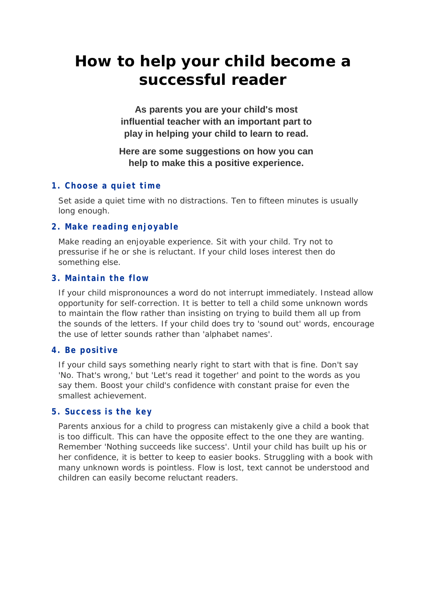# **How to help your child become a successful reader**

**As parents you are your child's most influential teacher with an important part to play in helping your child to learn to read.** 

# **Here are some suggestions on how you can help to make this a positive experience.**

# **1. Choose a quiet time**

Set aside a quiet time with no distractions. Ten to fifteen minutes is usually long enough.

# **2. Make reading enjoyable**

Make reading an enjoyable experience. Sit with your child. Try not to pressurise if he or she is reluctant. If your child loses interest then do something else.

# **3. Maintain the flow**

If your child mispronounces a word do not interrupt immediately. Instead allow opportunity for self-correction. It is better to tell a child some unknown words to maintain the flow rather than insisting on trying to build them all up from the sounds of the letters. If your child does try to 'sound out' words, encourage the use of letter sounds rather than 'alphabet names'.

# **4. Be positive**

If your child says something nearly right to start with that is fine. Don't say 'No. That's wrong,' but 'Let's read it together' and point to the words as you say them. Boost your child's confidence with constant praise for even the smallest achievement.

#### **5. Success is the key**

Parents anxious for a child to progress can mistakenly give a child a book that is too difficult. This can have the opposite effect to the one they are wanting. Remember 'Nothing succeeds like success'. Until your child has built up his or her confidence, it is better to keep to easier books. Struggling with a book with many unknown words is pointless. Flow is lost, text cannot be understood and children can easily become reluctant readers.